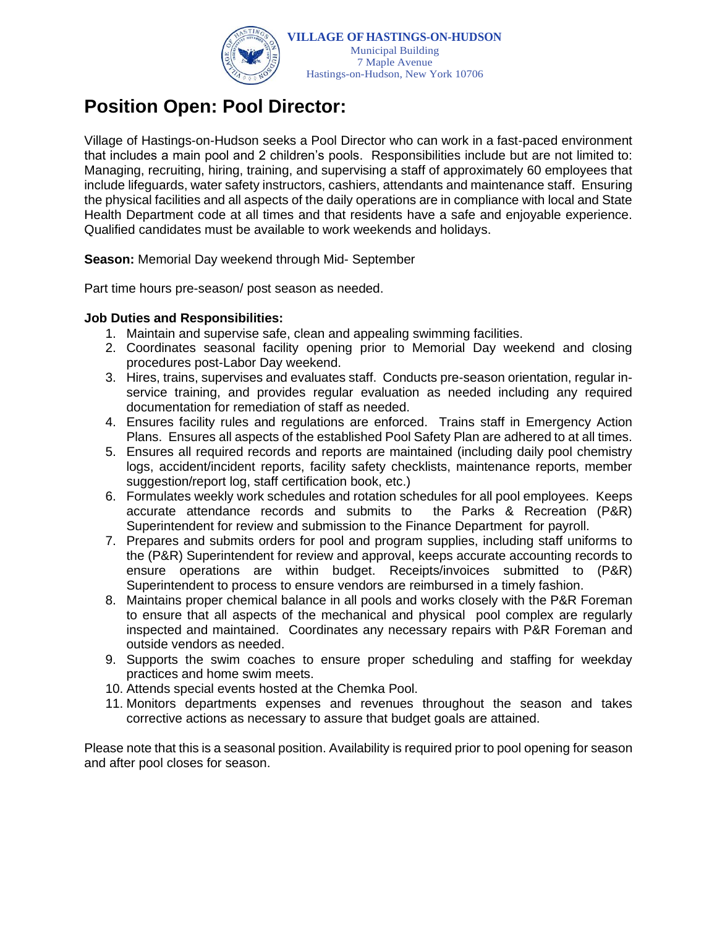

# **Position Open: Pool Director:**

Village of Hastings-on-Hudson seeks a Pool Director who can work in a fast-paced environment that includes a main pool and 2 children's pools. Responsibilities include but are not limited to: Managing, recruiting, hiring, training, and supervising a staff of approximately 60 employees that include lifeguards, water safety instructors, cashiers, attendants and maintenance staff. Ensuring the physical facilities and all aspects of the daily operations are in compliance with local and State Health Department code at all times and that residents have a safe and enjoyable experience. Qualified candidates must be available to work weekends and holidays.

**Season:** Memorial Day weekend through Mid- September

Part time hours pre-season/ post season as needed.

## **Job Duties and Responsibilities:**

- 1. Maintain and supervise safe, clean and appealing swimming facilities.
- 2. Coordinates seasonal facility opening prior to Memorial Day weekend and closing procedures post-Labor Day weekend.
- 3. Hires, trains, supervises and evaluates staff. Conducts pre-season orientation, regular inservice training, and provides regular evaluation as needed including any required documentation for remediation of staff as needed.
- 4. Ensures facility rules and regulations are enforced. Trains staff in Emergency Action Plans. Ensures all aspects of the established Pool Safety Plan are adhered to at all times.
- 5. Ensures all required records and reports are maintained (including daily pool chemistry logs, accident/incident reports, facility safety checklists, maintenance reports, member suggestion/report log, staff certification book, etc.)
- 6. Formulates weekly work schedules and rotation schedules for all pool employees. Keeps accurate attendance records and submits to the Parks & Recreation (P&R) Superintendent for review and submission to the Finance Department for payroll.
- 7. Prepares and submits orders for pool and program supplies, including staff uniforms to the (P&R) Superintendent for review and approval, keeps accurate accounting records to ensure operations are within budget. Receipts/invoices submitted to (P&R) Superintendent to process to ensure vendors are reimbursed in a timely fashion.
- 8. Maintains proper chemical balance in all pools and works closely with the P&R Foreman to ensure that all aspects of the mechanical and physical pool complex are regularly inspected and maintained. Coordinates any necessary repairs with P&R Foreman and outside vendors as needed.
- 9. Supports the swim coaches to ensure proper scheduling and staffing for weekday practices and home swim meets.
- 10. Attends special events hosted at the Chemka Pool.
- 11. Monitors departments expenses and revenues throughout the season and takes corrective actions as necessary to assure that budget goals are attained.

Please note that this is a seasonal position. Availability is required prior to pool opening for season and after pool closes for season.